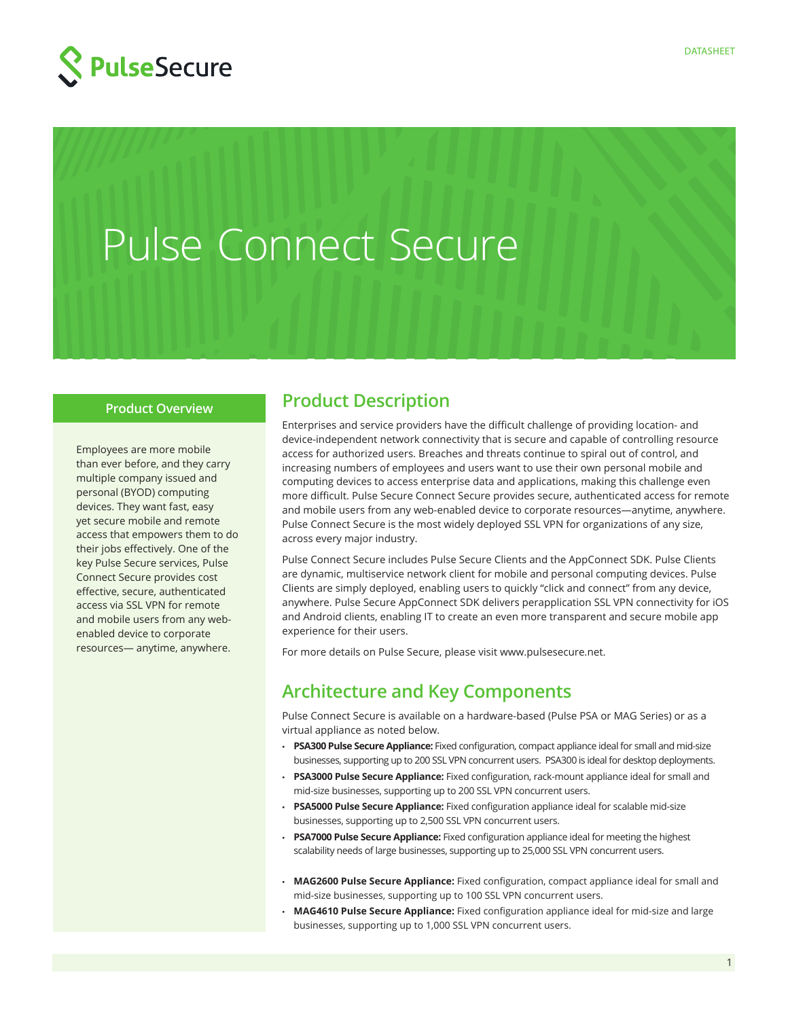



#### **Product Overview**

Employees are more mobile than ever before, and they carry multiple company issued and personal (BYOD) computing devices. They want fast, easy yet secure mobile and remote access that empowers them to do their jobs effectively. One of the key Pulse Secure services, Pulse Connect Secure provides cost effective, secure, authenticated access via SSL VPN for remote and mobile users from any webenabled device to corporate resources— anytime, anywhere.

### **Product Description**

Enterprises and service providers have the difficult challenge of providing location- and device-independent network connectivity that is secure and capable of controlling resource access for authorized users. Breaches and threats continue to spiral out of control, and increasing numbers of employees and users want to use their own personal mobile and computing devices to access enterprise data and applications, making this challenge even more difficult. Pulse Secure Connect Secure provides secure, authenticated access for remote and mobile users from any web-enabled device to corporate resources—anytime, anywhere. Pulse Connect Secure is the most widely deployed SSL VPN for organizations of any size, across every major industry.

Pulse Connect Secure includes Pulse Secure Clients and the AppConnect SDK. Pulse Clients are dynamic, multiservice network client for mobile and personal computing devices. Pulse Clients are simply deployed, enabling users to quickly "click and connect" from any device, anywhere. Pulse Secure AppConnect SDK delivers perapplication SSL VPN connectivity for iOS and Android clients, enabling IT to create an even more transparent and secure mobile app experience for their users.

For more details on Pulse Secure, please visit www.pulsesecure.net.

### **Architecture and Key Components**

Pulse Connect Secure is available on a hardware-based (Pulse PSA or MAG Series) or as a virtual appliance as noted below.

- **PSA300 Pulse Secure Appliance:** Fixed configuration, compact appliance ideal for small and mid-size businesses, supporting up to 200 SSL VPN concurrent users. PSA300 is ideal for desktop deployments.
- **PSA3000 Pulse Secure Appliance:** Fixed configuration, rack-mount appliance ideal for small and mid-size businesses, supporting up to 200 SSL VPN concurrent users.
- **PSA5000 Pulse Secure Appliance:** Fixed configuration appliance ideal for scalable mid-size businesses, supporting up to 2,500 SSL VPN concurrent users.
- **PSA7000 Pulse Secure Appliance:** Fixed configuration appliance ideal for meeting the highest scalability needs of large businesses, supporting up to 25,000 SSL VPN concurrent users.
- **MAG2600 Pulse Secure Appliance:** Fixed configuration, compact appliance ideal for small and mid-size businesses, supporting up to 100 SSL VPN concurrent users.
- **MAG4610 Pulse Secure Appliance:** Fixed configuration appliance ideal for mid-size and large businesses, supporting up to 1,000 SSL VPN concurrent users.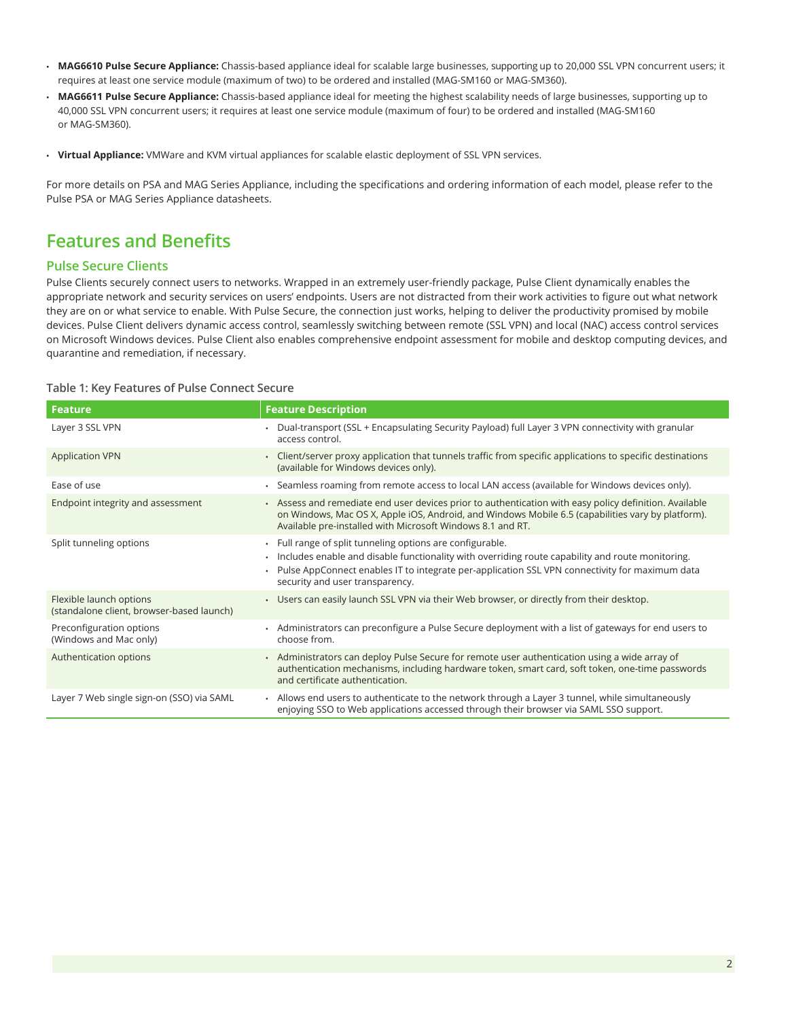- **MAG6610 Pulse Secure Appliance:** Chassis-based appliance ideal for scalable large businesses, supporting up to 20,000 SSL VPN concurrent users; it requires at least one service module (maximum of two) to be ordered and installed (MAG-SM160 or MAG-SM360).
- **MAG6611 Pulse Secure Appliance:** Chassis-based appliance ideal for meeting the highest scalability needs of large businesses, supporting up to 40,000 SSL VPN concurrent users; it requires at least one service module (maximum of four) to be ordered and installed (MAG-SM160 or MAG-SM360).
- **Virtual Appliance:** VMWare and KVM virtual appliances for scalable elastic deployment of SSL VPN services.

For more details on PSA and MAG Series Appliance, including the specifications and ordering information of each model, please refer to the Pulse PSA or MAG Series Appliance datasheets.

### **Features and Benefits**

#### **Pulse Secure Clients**

Pulse Clients securely connect users to networks. Wrapped in an extremely user-friendly package, Pulse Client dynamically enables the appropriate network and security services on users' endpoints. Users are not distracted from their work activities to figure out what network they are on or what service to enable. With Pulse Secure, the connection just works, helping to deliver the productivity promised by mobile devices. Pulse Client delivers dynamic access control, seamlessly switching between remote (SSL VPN) and local (NAC) access control services on Microsoft Windows devices. Pulse Client also enables comprehensive endpoint assessment for mobile and desktop computing devices, and quarantine and remediation, if necessary.

#### **Table 1: Key Features of Pulse Connect Secure**

| <b>Feature</b>                                                       | <b>Feature Description</b>                                                                                                                                                                                                                                                                                        |
|----------------------------------------------------------------------|-------------------------------------------------------------------------------------------------------------------------------------------------------------------------------------------------------------------------------------------------------------------------------------------------------------------|
| Layer 3 SSL VPN                                                      | Dual-transport (SSL + Encapsulating Security Payload) full Layer 3 VPN connectivity with granular<br>access control.                                                                                                                                                                                              |
| <b>Application VPN</b>                                               | - Client/server proxy application that tunnels traffic from specific applications to specific destinations<br>(available for Windows devices only).                                                                                                                                                               |
| Ease of use                                                          | . Seamless roaming from remote access to local LAN access (available for Windows devices only).                                                                                                                                                                                                                   |
| Endpoint integrity and assessment                                    | - Assess and remediate end user devices prior to authentication with easy policy definition. Available<br>on Windows, Mac OS X, Apple iOS, Android, and Windows Mobile 6.5 (capabilities vary by platform).<br>Available pre-installed with Microsoft Windows 8.1 and RT.                                         |
| Split tunneling options                                              | • Full range of split tunneling options are configurable.<br>· Includes enable and disable functionality with overriding route capability and route monitoring.<br>Pulse AppConnect enables IT to integrate per-application SSL VPN connectivity for maximum data<br>$\bullet$<br>security and user transparency. |
| Flexible launch options<br>(standalone client, browser-based launch) | • Users can easily launch SSL VPN via their Web browser, or directly from their desktop.                                                                                                                                                                                                                          |
| Preconfiguration options<br>(Windows and Mac only)                   | • Administrators can preconfigure a Pulse Secure deployment with a list of gateways for end users to<br>choose from.                                                                                                                                                                                              |
| Authentication options                                               | • Administrators can deploy Pulse Secure for remote user authentication using a wide array of<br>authentication mechanisms, including hardware token, smart card, soft token, one-time passwords<br>and certificate authentication.                                                                               |
| Layer 7 Web single sign-on (SSO) via SAML                            | - Allows end users to authenticate to the network through a Layer 3 tunnel, while simultaneously<br>enjoying SSO to Web applications accessed through their browser via SAML SSO support.                                                                                                                         |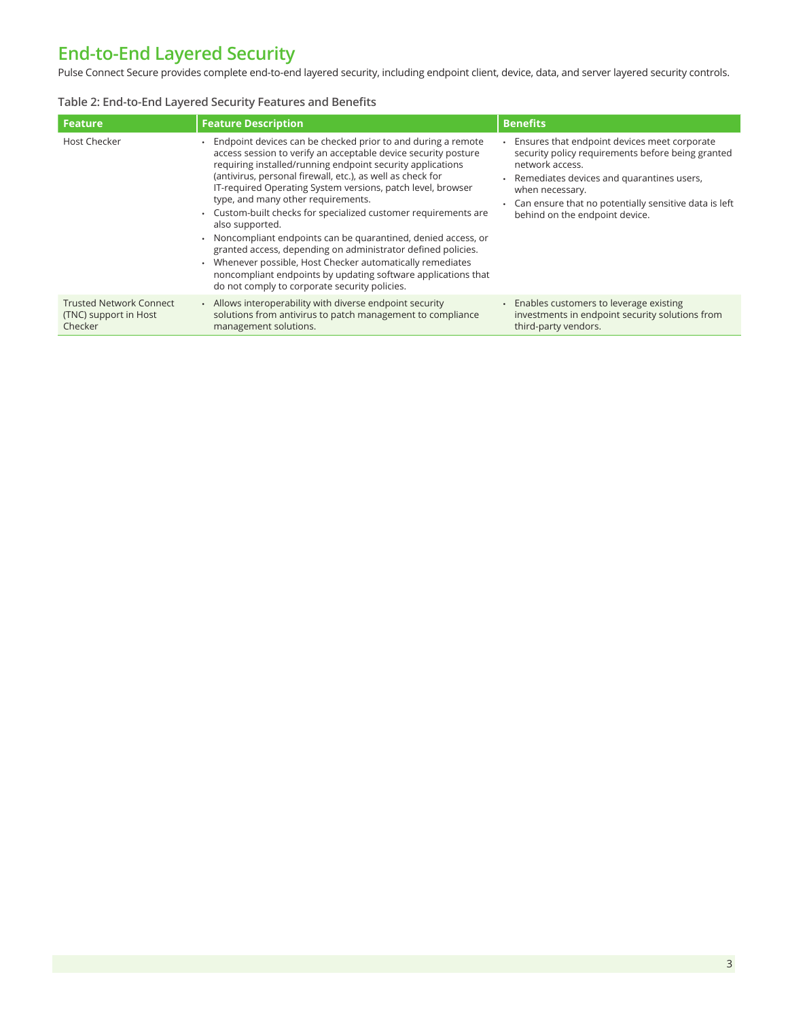# **End-to-End Layered Security**

Pulse Connect Secure provides complete end-to-end layered security, including endpoint client, device, data, and server layered security controls.

#### **Table 2: End-to-End Layered Security Features and Benefits**

| <b>Feature</b>                                                     | <b>Feature Description</b>                                                                                                                                                                                                                                                                                                                                                                                                                                                                                                                                                                                                                                                                                                                                              | <b>Benefits</b>                                                                                                                                                                                                                                                                     |
|--------------------------------------------------------------------|-------------------------------------------------------------------------------------------------------------------------------------------------------------------------------------------------------------------------------------------------------------------------------------------------------------------------------------------------------------------------------------------------------------------------------------------------------------------------------------------------------------------------------------------------------------------------------------------------------------------------------------------------------------------------------------------------------------------------------------------------------------------------|-------------------------------------------------------------------------------------------------------------------------------------------------------------------------------------------------------------------------------------------------------------------------------------|
| Host Checker                                                       | • Endpoint devices can be checked prior to and during a remote<br>access session to verify an acceptable device security posture<br>requiring installed/running endpoint security applications<br>(antivirus, personal firewall, etc.), as well as check for<br>IT-required Operating System versions, patch level, browser<br>type, and many other requirements.<br>• Custom-built checks for specialized customer requirements are<br>also supported.<br>• Noncompliant endpoints can be quarantined, denied access, or<br>granted access, depending on administrator defined policies.<br>Whenever possible, Host Checker automatically remediates<br>noncompliant endpoints by updating software applications that<br>do not comply to corporate security policies. | Ensures that endpoint devices meet corporate<br>security policy requirements before being granted<br>network access.<br>• Remediates devices and quarantines users,<br>when necessary.<br>. Can ensure that no potentially sensitive data is left<br>behind on the endpoint device. |
| <b>Trusted Network Connect</b><br>(TNC) support in Host<br>Checker | . Allows interoperability with diverse endpoint security<br>solutions from antivirus to patch management to compliance<br>management solutions.                                                                                                                                                                                                                                                                                                                                                                                                                                                                                                                                                                                                                         | • Enables customers to leverage existing<br>investments in endpoint security solutions from<br>third-party vendors.                                                                                                                                                                 |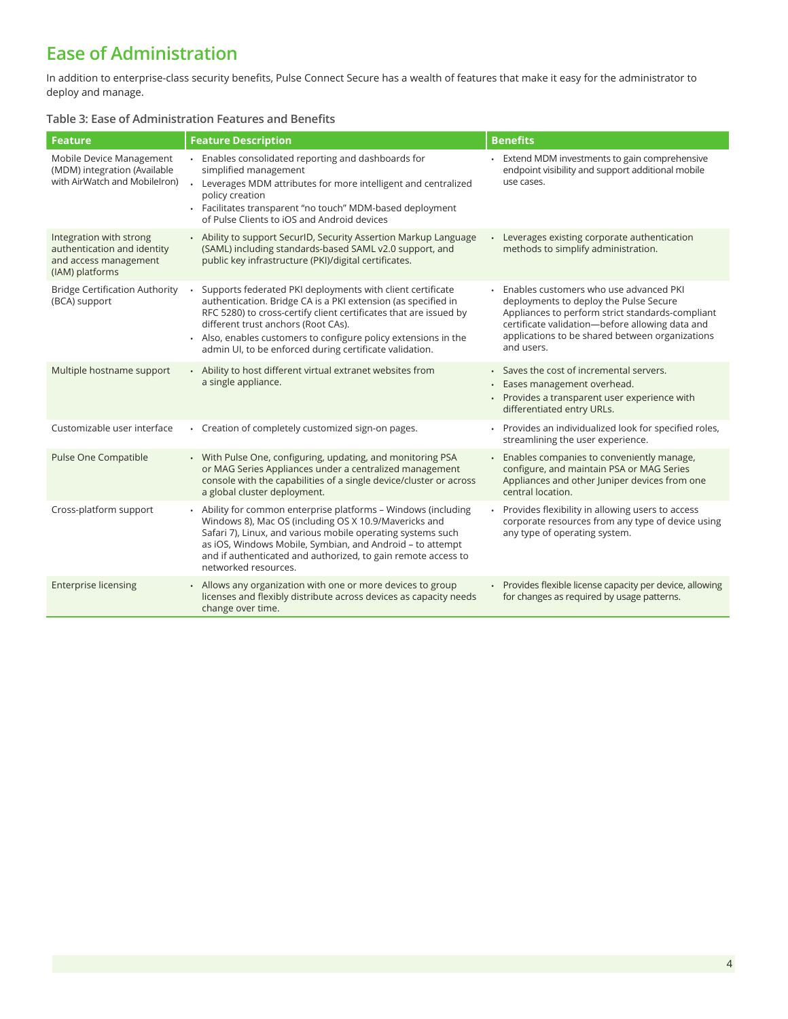## **Ease of Administration**

In addition to enterprise-class security benefits, Pulse Connect Secure has a wealth of features that make it easy for the administrator to deploy and manage.

#### **Table 3: Ease of Administration Features and Benefits**

| <b>Feature</b>                                                                                     | <b>Feature Description</b>                                                                                                                                                                                                                                                                                                                                            | <b>Benefits</b>                                                                                                                                                                                                                                          |
|----------------------------------------------------------------------------------------------------|-----------------------------------------------------------------------------------------------------------------------------------------------------------------------------------------------------------------------------------------------------------------------------------------------------------------------------------------------------------------------|----------------------------------------------------------------------------------------------------------------------------------------------------------------------------------------------------------------------------------------------------------|
| Mobile Device Management<br>(MDM) integration (Available<br>with AirWatch and Mobilelron)          | Enables consolidated reporting and dashboards for<br>simplified management<br>Leverages MDM attributes for more intelligent and centralized<br>$\ddot{\phantom{a}}$<br>policy creation<br>· Facilitates transparent "no touch" MDM-based deployment<br>of Pulse Clients to iOS and Android devices                                                                    | Extend MDM investments to gain comprehensive<br>endpoint visibility and support additional mobile<br>use cases.                                                                                                                                          |
| Integration with strong<br>authentication and identity<br>and access management<br>(IAM) platforms | • Ability to support SecuriD, Security Assertion Markup Language<br>(SAML) including standards-based SAML v2.0 support, and<br>public key infrastructure (PKI)/digital certificates.                                                                                                                                                                                  | Leverages existing corporate authentication<br>methods to simplify administration.                                                                                                                                                                       |
| <b>Bridge Certification Authority</b><br>(BCA) support                                             | Supports federated PKI deployments with client certificate<br>authentication. Bridge CA is a PKI extension (as specified in<br>RFC 5280) to cross-certify client certificates that are issued by<br>different trust anchors (Root CAs).<br>• Also, enables customers to configure policy extensions in the<br>admin UI, to be enforced during certificate validation. | Enables customers who use advanced PKI<br>deployments to deploy the Pulse Secure<br>Appliances to perform strict standards-compliant<br>certificate validation-before allowing data and<br>applications to be shared between organizations<br>and users. |
| Multiple hostname support                                                                          | • Ability to host different virtual extranet websites from<br>a single appliance.                                                                                                                                                                                                                                                                                     | · Saves the cost of incremental servers.<br>· Eases management overhead.<br>• Provides a transparent user experience with<br>differentiated entry URLs.                                                                                                  |
| Customizable user interface                                                                        | • Creation of completely customized sign-on pages.                                                                                                                                                                                                                                                                                                                    | · Provides an individualized look for specified roles,<br>streamlining the user experience.                                                                                                                                                              |
| Pulse One Compatible                                                                               | • With Pulse One, configuring, updating, and monitoring PSA<br>or MAG Series Appliances under a centralized management<br>console with the capabilities of a single device/cluster or across<br>a global cluster deployment.                                                                                                                                          | Enables companies to conveniently manage,<br>configure, and maintain PSA or MAG Series<br>Appliances and other Juniper devices from one<br>central location.                                                                                             |
| Cross-platform support                                                                             | Ability for common enterprise platforms - Windows (including<br>Windows 8), Mac OS (including OS X 10.9/Mavericks and<br>Safari 7), Linux, and various mobile operating systems such<br>as iOS, Windows Mobile, Symbian, and Android - to attempt<br>and if authenticated and authorized, to gain remote access to<br>networked resources.                            | Provides flexibility in allowing users to access<br>corporate resources from any type of device using<br>any type of operating system.                                                                                                                   |
| <b>Enterprise licensing</b>                                                                        | • Allows any organization with one or more devices to group<br>licenses and flexibly distribute across devices as capacity needs<br>change over time.                                                                                                                                                                                                                 | • Provides flexible license capacity per device, allowing<br>for changes as required by usage patterns.                                                                                                                                                  |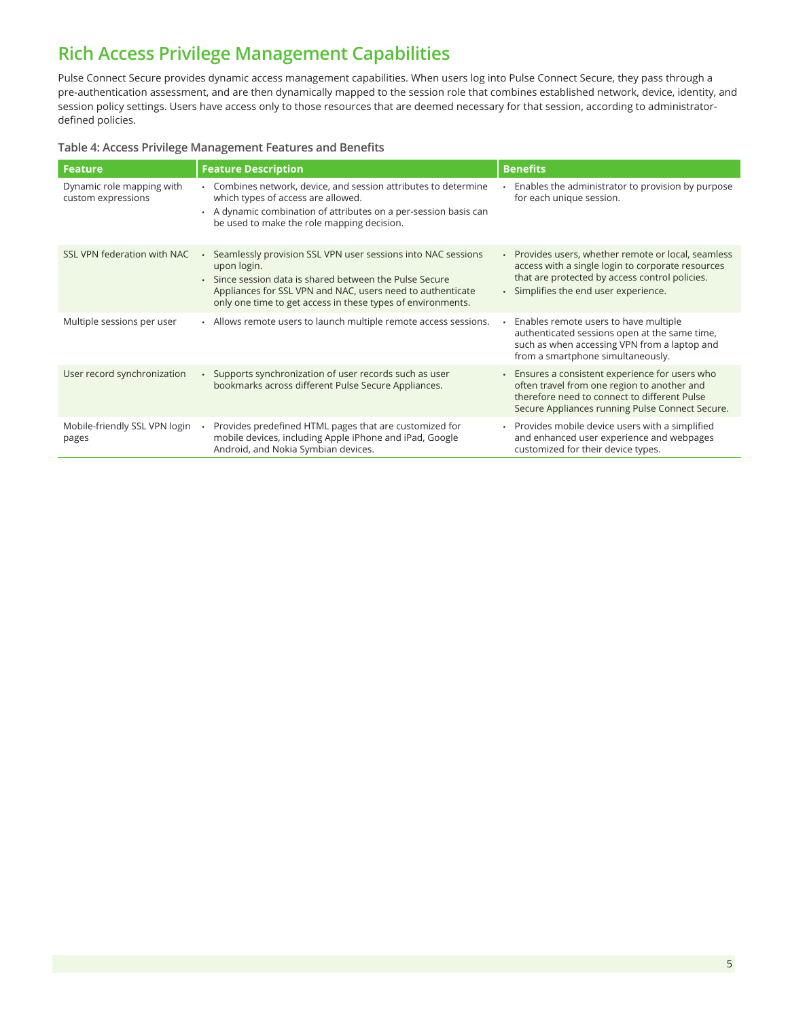## **Rich Access Privilege Management Capabilities**

Pulse Connect Secure provides dynamic access management capabilities. When users log into Pulse Connect Secure, they pass through a pre-authentication assessment, and are then dynamically mapped to the session role that combines established network, device, identity, and session policy settings. Users have access only to those resources that are deemed necessary for that session, according to administratordefined policies.

#### **Table 4: Access Privilege Management Features and Benefits**

| Feature                                         | <b>Feature Description</b>                                                                                                                                                                                                                                          | <b>Benefits</b>                                                                                                                                                                                     |
|-------------------------------------------------|---------------------------------------------------------------------------------------------------------------------------------------------------------------------------------------------------------------------------------------------------------------------|-----------------------------------------------------------------------------------------------------------------------------------------------------------------------------------------------------|
| Dynamic role mapping with<br>custom expressions | • Combines network, device, and session attributes to determine<br>which types of access are allowed.<br>• A dynamic combination of attributes on a per-session basis can<br>be used to make the role mapping decision.                                             | Enables the administrator to provision by purpose<br>for each unique session.                                                                                                                       |
| SSL VPN federation with NAC                     | Seamlessly provision SSL VPN user sessions into NAC sessions<br>upon login.<br>. Since session data is shared between the Pulse Secure<br>Appliances for SSL VPN and NAC, users need to authenticate<br>only one time to get access in these types of environments. | • Provides users, whether remote or local, seamless<br>access with a single login to corporate resources<br>that are protected by access control policies.<br>· Simplifies the end user experience. |
| Multiple sessions per user                      | • Allows remote users to launch multiple remote access sessions.                                                                                                                                                                                                    | . Enables remote users to have multiple<br>authenticated sessions open at the same time,<br>such as when accessing VPN from a laptop and<br>from a smartphone simultaneously.                       |
| User record synchronization                     | • Supports synchronization of user records such as user<br>bookmarks across different Pulse Secure Appliances.                                                                                                                                                      | • Ensures a consistent experience for users who<br>often travel from one region to another and<br>therefore need to connect to different Pulse<br>Secure Appliances running Pulse Connect Secure.   |
| Mobile-friendly SSL VPN login<br>pages          | Provides predefined HTML pages that are customized for<br>mobile devices, including Apple iPhone and iPad, Google<br>Android, and Nokia Symbian devices.                                                                                                            | • Provides mobile device users with a simplified<br>and enhanced user experience and webpages<br>customized for their device types.                                                                 |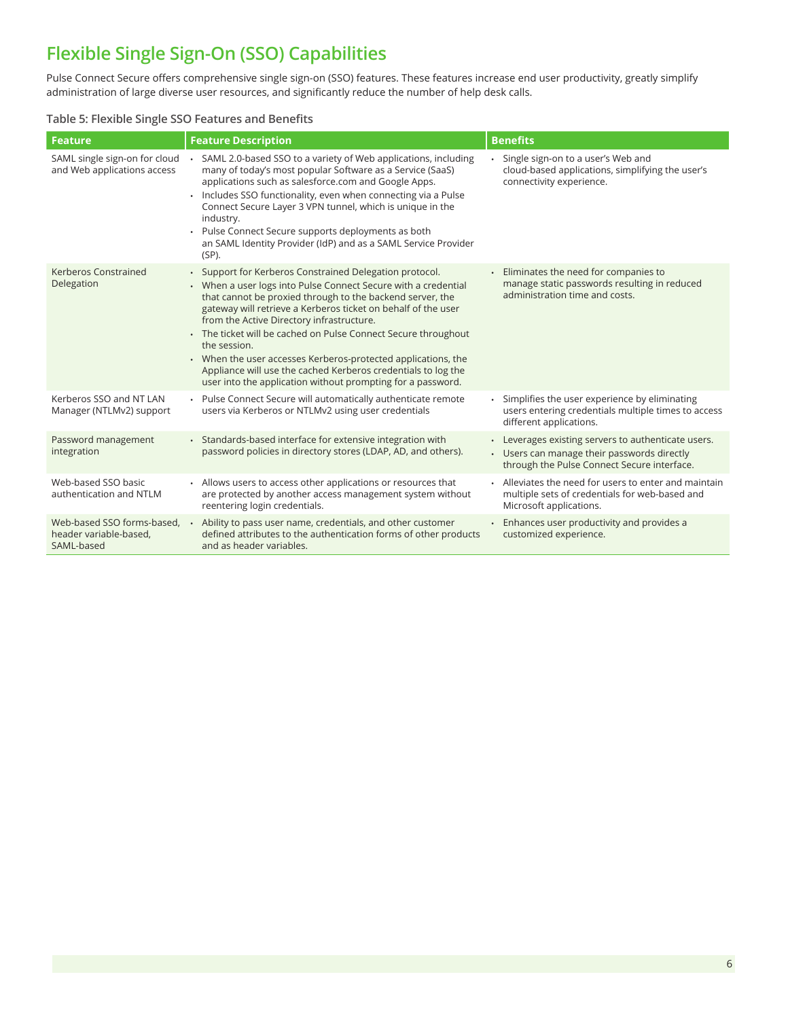## **Flexible Single Sign-On (SSO) Capabilities**

Pulse Connect Secure offers comprehensive single sign-on (SSO) features. These features increase end user productivity, greatly simplify administration of large diverse user resources, and significantly reduce the number of help desk calls.

#### **Table 5: Flexible Single SSO Features and Benefits**

| <b>Feature</b>                                                     | <b>Feature Description</b>                                                                                                                                                                                                                                                                                                                                                                                                                                                                                                                                                              | <b>Benefits</b>                                                                                                                                   |
|--------------------------------------------------------------------|-----------------------------------------------------------------------------------------------------------------------------------------------------------------------------------------------------------------------------------------------------------------------------------------------------------------------------------------------------------------------------------------------------------------------------------------------------------------------------------------------------------------------------------------------------------------------------------------|---------------------------------------------------------------------------------------------------------------------------------------------------|
| SAML single sign-on for cloud<br>and Web applications access       | SAML 2.0-based SSO to a variety of Web applications, including<br>many of today's most popular Software as a Service (SaaS)<br>applications such as salesforce.com and Google Apps.<br>· Includes SSO functionality, even when connecting via a Pulse<br>Connect Secure Layer 3 VPN tunnel, which is unique in the<br>industry.<br>Pulse Connect Secure supports deployments as both<br>an SAML Identity Provider (IdP) and as a SAML Service Provider<br>$(SP)$ .                                                                                                                      | · Single sign-on to a user's Web and<br>cloud-based applications, simplifying the user's<br>connectivity experience.                              |
| Kerberos Constrained<br>Delegation                                 | • Support for Kerberos Constrained Delegation protocol.<br>• When a user logs into Pulse Connect Secure with a credential<br>that cannot be proxied through to the backend server, the<br>gateway will retrieve a Kerberos ticket on behalf of the user<br>from the Active Directory infrastructure.<br>• The ticket will be cached on Pulse Connect Secure throughout<br>the session.<br>• When the user accesses Kerberos-protected applications, the<br>Appliance will use the cached Kerberos credentials to log the<br>user into the application without prompting for a password. | • Eliminates the need for companies to<br>manage static passwords resulting in reduced<br>administration time and costs.                          |
| Kerberos SSO and NT LAN<br>Manager (NTLMv2) support                | • Pulse Connect Secure will automatically authenticate remote<br>users via Kerberos or NTLMv2 using user credentials                                                                                                                                                                                                                                                                                                                                                                                                                                                                    | · Simplifies the user experience by eliminating<br>users entering credentials multiple times to access<br>different applications.                 |
| Password management<br>integration                                 | • Standards-based interface for extensive integration with<br>password policies in directory stores (LDAP, AD, and others).                                                                                                                                                                                                                                                                                                                                                                                                                                                             | • Leverages existing servers to authenticate users.<br>• Users can manage their passwords directly<br>through the Pulse Connect Secure interface. |
| Web-based SSO basic<br>authentication and NTLM                     | • Allows users to access other applications or resources that<br>are protected by another access management system without<br>reentering login credentials.                                                                                                                                                                                                                                                                                                                                                                                                                             | • Alleviates the need for users to enter and maintain<br>multiple sets of credentials for web-based and<br>Microsoft applications.                |
| Web-based SSO forms-based,<br>header variable-based,<br>SAML-based | Ability to pass user name, credentials, and other customer<br>defined attributes to the authentication forms of other products<br>and as header variables.                                                                                                                                                                                                                                                                                                                                                                                                                              | • Enhances user productivity and provides a<br>customized experience.                                                                             |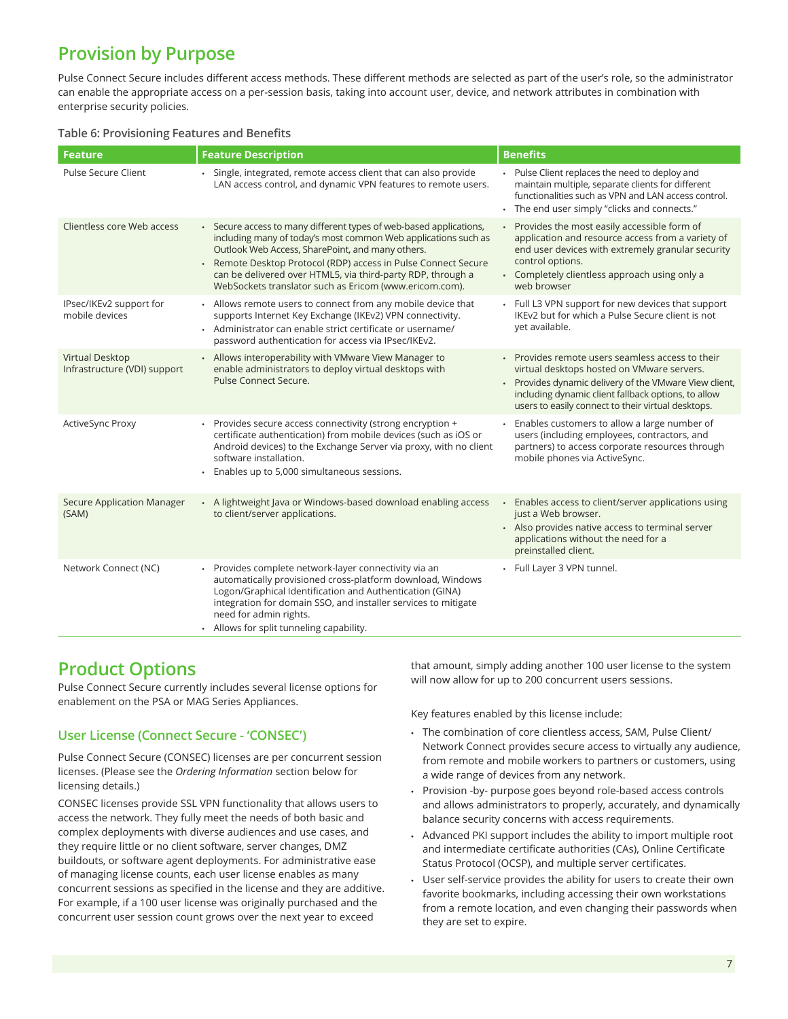## **Provision by Purpose**

Pulse Connect Secure includes different access methods. These different methods are selected as part of the user's role, so the administrator can enable the appropriate access on a per-session basis, taking into account user, device, and network attributes in combination with enterprise security policies.

#### **Table 6: Provisioning Features and Benefits**

| <b>Feature</b>                                  | <b>Feature Description</b>                                                                                                                                                                                                                                                                                                                                                        | <b>Benefits</b>                                                                                                                                                                                                                                                   |
|-------------------------------------------------|-----------------------------------------------------------------------------------------------------------------------------------------------------------------------------------------------------------------------------------------------------------------------------------------------------------------------------------------------------------------------------------|-------------------------------------------------------------------------------------------------------------------------------------------------------------------------------------------------------------------------------------------------------------------|
| Pulse Secure Client                             | Single, integrated, remote access client that can also provide<br>LAN access control, and dynamic VPN features to remote users.                                                                                                                                                                                                                                                   | Pulse Client replaces the need to deploy and<br>maintain multiple, separate clients for different<br>functionalities such as VPN and LAN access control.<br>· The end user simply "clicks and connects."                                                          |
| Clientless core Web access                      | • Secure access to many different types of web-based applications,<br>including many of today's most common Web applications such as<br>Outlook Web Access, SharePoint, and many others.<br>Remote Desktop Protocol (RDP) access in Pulse Connect Secure<br>can be delivered over HTML5, via third-party RDP, through a<br>WebSockets translator such as Ericom (www.ericom.com). | Provides the most easily accessible form of<br>$\ddot{\phantom{0}}$<br>application and resource access from a variety of<br>end user devices with extremely granular security<br>control options.<br>• Completely clientless approach using only a<br>web browser |
| IPsec/IKEv2 support for<br>mobile devices       | Allows remote users to connect from any mobile device that<br>supports Internet Key Exchange (IKEv2) VPN connectivity.<br>· Administrator can enable strict certificate or username/<br>password authentication for access via IPsec/IKEv2.                                                                                                                                       | Full L3 VPN support for new devices that support<br>IKEv2 but for which a Pulse Secure client is not<br>vet available.                                                                                                                                            |
| Virtual Desktop<br>Infrastructure (VDI) support | • Allows interoperability with VMware View Manager to<br>enable administrators to deploy virtual desktops with<br>Pulse Connect Secure.                                                                                                                                                                                                                                           | Provides remote users seamless access to their<br>virtual desktops hosted on VMware servers.<br>Provides dynamic delivery of the VMware View client,<br>including dynamic client fallback options, to allow<br>users to easily connect to their virtual desktops. |
| ActiveSync Proxy                                | Provides secure access connectivity (strong encryption +<br>certificate authentication) from mobile devices (such as iOS or<br>Android devices) to the Exchange Server via proxy, with no client<br>software installation.<br>• Enables up to 5,000 simultaneous sessions.                                                                                                        | Enables customers to allow a large number of<br>users (including employees, contractors, and<br>partners) to access corporate resources through<br>mobile phones via ActiveSync.                                                                                  |
| <b>Secure Application Manager</b><br>(SAM)      | • A lightweight Java or Windows-based download enabling access<br>to client/server applications.                                                                                                                                                                                                                                                                                  | Enables access to client/server applications using<br>$\bullet$<br>just a Web browser.<br>• Also provides native access to terminal server<br>applications without the need for a<br>preinstalled client.                                                         |
| Network Connect (NC)                            | Provides complete network-layer connectivity via an<br>automatically provisioned cross-platform download, Windows<br>Logon/Graphical Identification and Authentication (GINA)<br>integration for domain SSO, and installer services to mitigate<br>need for admin rights.<br>• Allows for split tunneling capability.                                                             | Full Layer 3 VPN tunnel.                                                                                                                                                                                                                                          |

### **Product Options**

Pulse Connect Secure currently includes several license options for enablement on the PSA or MAG Series Appliances.

#### **User License (Connect Secure - 'CONSEC')**

Pulse Connect Secure (CONSEC) licenses are per concurrent session licenses. (Please see the *Ordering Information* section below for licensing details.)

CONSEC licenses provide SSL VPN functionality that allows users to access the network. They fully meet the needs of both basic and complex deployments with diverse audiences and use cases, and they require little or no client software, server changes, DMZ buildouts, or software agent deployments. For administrative ease of managing license counts, each user license enables as many concurrent sessions as specified in the license and they are additive. For example, if a 100 user license was originally purchased and the concurrent user session count grows over the next year to exceed

that amount, simply adding another 100 user license to the system will now allow for up to 200 concurrent users sessions.

Key features enabled by this license include:

- The combination of core clientless access, SAM, Pulse Client/ Network Connect provides secure access to virtually any audience, from remote and mobile workers to partners or customers, using a wide range of devices from any network.
- Provision -by- purpose goes beyond role-based access controls and allows administrators to properly, accurately, and dynamically balance security concerns with access requirements.
- Advanced PKI support includes the ability to import multiple root and intermediate certificate authorities (CAs), Online Certificate Status Protocol (OCSP), and multiple server certificates.
- User self-service provides the ability for users to create their own favorite bookmarks, including accessing their own workstations from a remote location, and even changing their passwords when they are set to expire.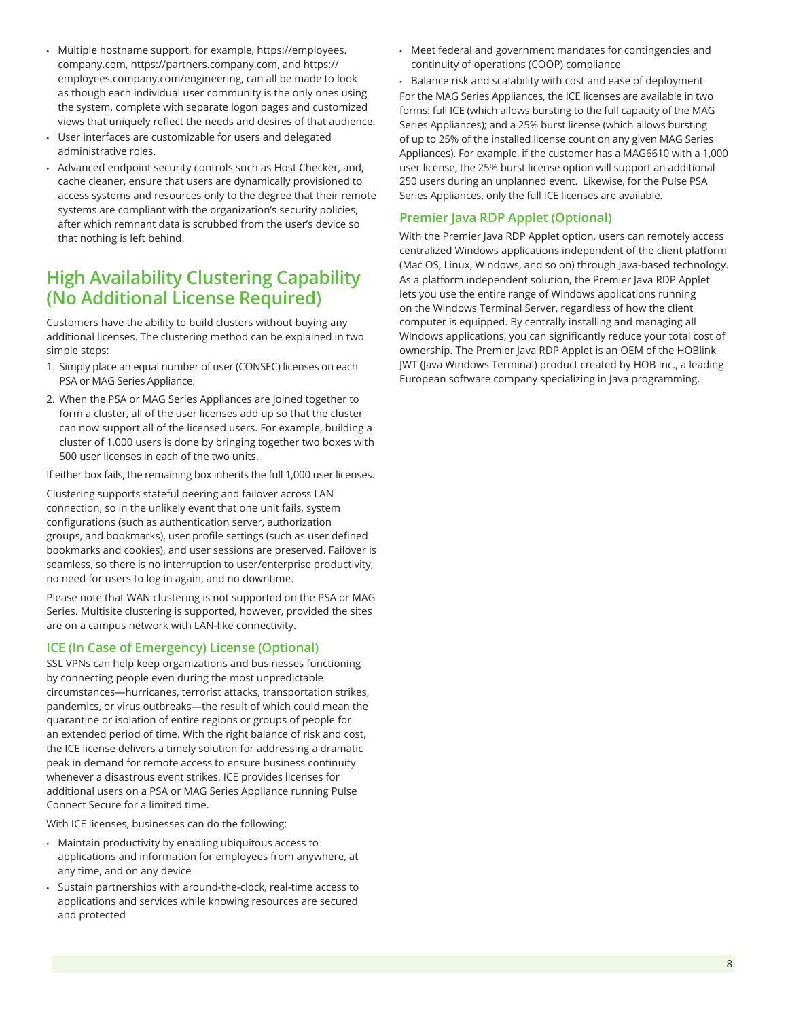- Multiple hostname support, for example, https://employees. company.com, https://partners.company.com, and https:// employees.company.com/engineering, can all be made to look as though each individual user community is the only ones using the system, complete with separate logon pages and customized views that uniquely reflect the needs and desires of that audience.
- User interfaces are customizable for users and delegated administrative roles.
- Advanced endpoint security controls such as Host Checker, and, cache cleaner, ensure that users are dynamically provisioned to access systems and resources only to the degree that their remote systems are compliant with the organization's security policies, after which remnant data is scrubbed from the user's device so that nothing is left behind.

### **High Availability Clustering Capability (No Additional License Required)**

Customers have the ability to build clusters without buying any additional licenses. The clustering method can be explained in two simple steps:

- 1. Simply place an equal number of user (CONSEC) licenses on each PSA or MAG Series Appliance.
- 2. When the PSA or MAG Series Appliances are joined together to form a cluster, all of the user licenses add up so that the cluster can now support all of the licensed users. For example, building a cluster of 1,000 users is done by bringing together two boxes with 500 user licenses in each of the two units.

If either box fails, the remaining box inherits the full 1,000 user licenses.

Clustering supports stateful peering and failover across LAN connection, so in the unlikely event that one unit fails, system configurations (such as authentication server, authorization groups, and bookmarks), user profile settings (such as user defined bookmarks and cookies), and user sessions are preserved. Failover is seamless, so there is no interruption to user/enterprise productivity, no need for users to log in again, and no downtime.

Please note that WAN clustering is not supported on the PSA or MAG Series. Multisite clustering is supported, however, provided the sites are on a campus network with LAN-like connectivity.

#### **ICE (In Case of Emergency) License (Optional)**

SSL VPNs can help keep organizations and businesses functioning by connecting people even during the most unpredictable circumstances—hurricanes, terrorist attacks, transportation strikes, pandemics, or virus outbreaks—the result of which could mean the quarantine or isolation of entire regions or groups of people for an extended period of time. With the right balance of risk and cost, the ICE license delivers a timely solution for addressing a dramatic peak in demand for remote access to ensure business continuity whenever a disastrous event strikes. ICE provides licenses for additional users on a PSA or MAG Series Appliance running Pulse Connect Secure for a limited time.

With ICE licenses, businesses can do the following:

- Maintain productivity by enabling ubiquitous access to applications and information for employees from anywhere, at any time, and on any device
- Sustain partnerships with around-the-clock, real-time access to applications and services while knowing resources are secured and protected
- Meet federal and government mandates for contingencies and continuity of operations (COOP) compliance
- Balance risk and scalability with cost and ease of deployment For the MAG Series Appliances, the ICE licenses are available in two forms: full ICE (which allows bursting to the full capacity of the MAG Series Appliances); and a 25% burst license (which allows bursting of up to 25% of the installed license count on any given MAG Series Appliances). For example, if the customer has a MAG6610 with a 1,000 user license, the 25% burst license option will support an additional 250 users during an unplanned event. Likewise, for the Pulse PSA Series Appliances, only the full ICE licenses are available.

#### **Premier Java RDP Applet (Optional)**

With the Premier Java RDP Applet option, users can remotely access centralized Windows applications independent of the client platform (Mac OS, Linux, Windows, and so on) through Java-based technology. As a platform independent solution, the Premier Java RDP Applet lets you use the entire range of Windows applications running on the Windows Terminal Server, regardless of how the client computer is equipped. By centrally installing and managing all Windows applications, you can significantly reduce your total cost of ownership. The Premier Java RDP Applet is an OEM of the HOBlink JWT (Java Windows Terminal) product created by HOB Inc., a leading European software company specializing in Java programming.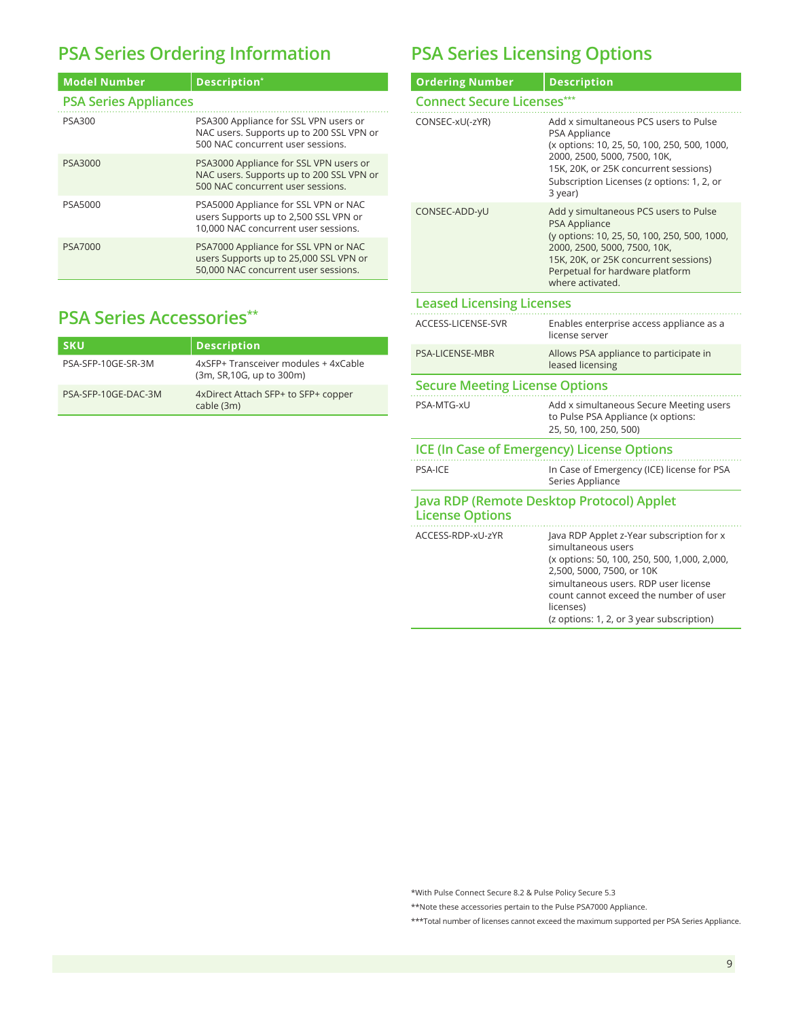## **PSA Series Ordering Information**

| <b>Model Number</b>          | Description*                                                                                                            |  |
|------------------------------|-------------------------------------------------------------------------------------------------------------------------|--|
| <b>PSA Series Appliances</b> |                                                                                                                         |  |
| <b>PSA300</b>                | PSA300 Appliance for SSL VPN users or<br>NAC users. Supports up to 200 SSL VPN or<br>500 NAC concurrent user sessions.  |  |
| PSA3000                      | PSA3000 Appliance for SSL VPN users or<br>NAC users. Supports up to 200 SSL VPN or<br>500 NAC concurrent user sessions. |  |
| PSA5000                      | PSA5000 Appliance for SSL VPN or NAC<br>users Supports up to 2,500 SSL VPN or<br>10,000 NAC concurrent user sessions.   |  |
| PSA7000                      | PSA7000 Appliance for SSL VPN or NAC<br>users Supports up to 25,000 SSL VPN or<br>50,000 NAC concurrent user sessions.  |  |

## **PSA Series Accessories\*\***

| <b>SKU</b>          | <b>Description</b>                                                |
|---------------------|-------------------------------------------------------------------|
| PSA-SFP-10GE-SR-3M  | 4xSFP+ Transceiver modules + 4xCable<br>(3m, SR, 10G, up to 300m) |
| PSA-SFP-10GE-DAC-3M | 4xDirect Attach SFP+ to SFP+ copper<br>cable (3m)                 |

## **PSA Series Licensing Options**

| <b>Ordering Number</b>                                              | <b>Description</b>                                                                                                                                                                                                                                                                       |  |
|---------------------------------------------------------------------|------------------------------------------------------------------------------------------------------------------------------------------------------------------------------------------------------------------------------------------------------------------------------------------|--|
| <b>Connect Secure Licenses***</b>                                   |                                                                                                                                                                                                                                                                                          |  |
| CONSEC-xU(-zYR)                                                     | Add x simultaneous PCS users to Pulse<br>PSA Appliance<br>(x options: 10, 25, 50, 100, 250, 500, 1000,<br>2000, 2500, 5000, 7500, 10K,<br>15K, 20K, or 25K concurrent sessions)<br>Subscription Licenses (z options: 1, 2, or<br>3 year)                                                 |  |
| CONSEC-ADD-yU                                                       | Add y simultaneous PCS users to Pulse<br><b>PSA Appliance</b><br>(y options: 10, 25, 50, 100, 250, 500, 1000,<br>2000, 2500, 5000, 7500, 10K,<br>15K, 20K, or 25K concurrent sessions)<br>Perpetual for hardware platform<br>where activated.                                            |  |
| <b>Leased Licensing Licenses</b>                                    |                                                                                                                                                                                                                                                                                          |  |
| ACCESS-LICENSE-SVR                                                  | Enables enterprise access appliance as a<br>license server                                                                                                                                                                                                                               |  |
| <b>PSA-LICENSE-MBR</b>                                              | Allows PSA appliance to participate in<br>leased licensing                                                                                                                                                                                                                               |  |
| <b>Secure Meeting License Options</b>                               |                                                                                                                                                                                                                                                                                          |  |
| PSA-MTG-xU                                                          | Add x simultaneous Secure Meeting users<br>to Pulse PSA Appliance (x options:<br>25, 50, 100, 250, 500)                                                                                                                                                                                  |  |
| <b>ICE (In Case of Emergency) License Options</b>                   |                                                                                                                                                                                                                                                                                          |  |
| <b>PSA-ICE</b>                                                      | In Case of Emergency (ICE) license for PSA<br>Series Appliance                                                                                                                                                                                                                           |  |
| Java RDP (Remote Desktop Protocol) Applet<br><b>License Options</b> |                                                                                                                                                                                                                                                                                          |  |
| ACCESS-RDP-xU-zYR                                                   | Java RDP Applet z-Year subscription for x<br>simultaneous users<br>(x options: 50, 100, 250, 500, 1,000, 2,000,<br>2,500, 5000, 7500, or 10K<br>simultaneous users. RDP user license<br>count cannot exceed the number of user<br>licenses)<br>(z options: 1, 2, or 3 year subscription) |  |

\*With Pulse Connect Secure 8.2 & Pulse Policy Secure 5.3

\*\*Note these accessories pertain to the Pulse PSA7000 Appliance.

\*\*\*Total number of licenses cannot exceed the maximum supported per PSA Series Appliance.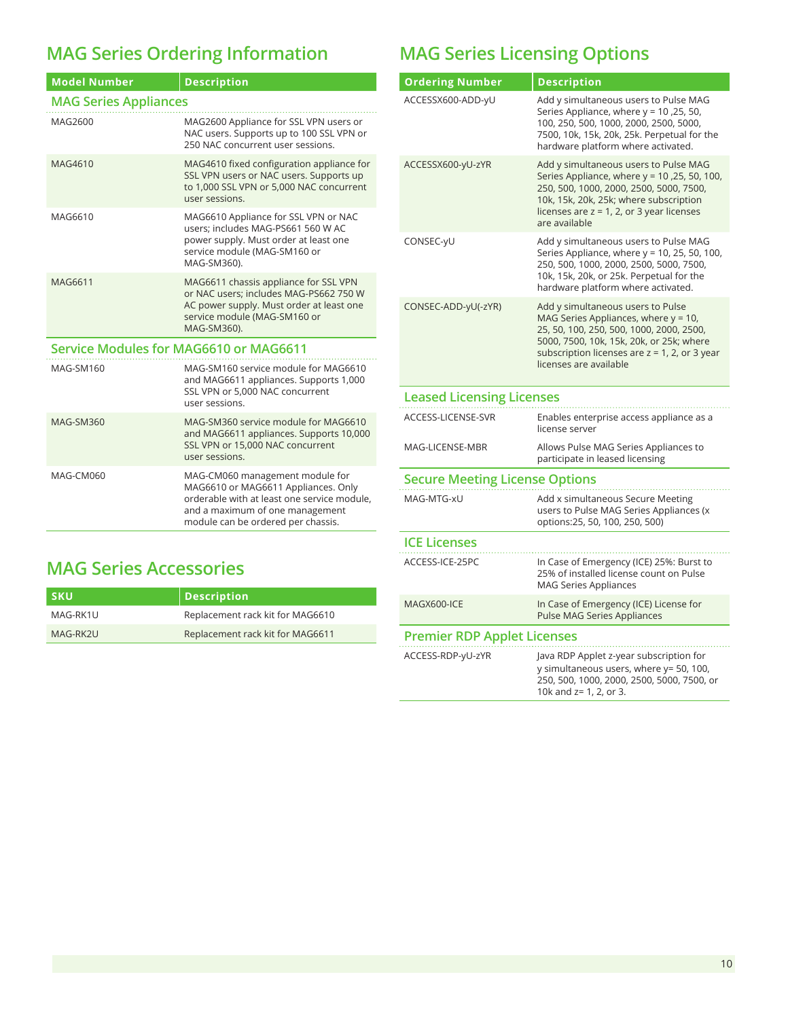# **MAG Series Ordering Information**

| <b>Model Number</b>                    | <b>Description</b>                                                                                                                                                                             |
|----------------------------------------|------------------------------------------------------------------------------------------------------------------------------------------------------------------------------------------------|
| <b>MAG Series Appliances</b>           |                                                                                                                                                                                                |
| MAG2600                                | MAG2600 Appliance for SSL VPN users or<br>NAC users. Supports up to 100 SSL VPN or<br>250 NAC concurrent user sessions.                                                                        |
| MAG4610                                | MAG4610 fixed configuration appliance for<br>SSL VPN users or NAC users. Supports up<br>to 1,000 SSL VPN or 5,000 NAC concurrent<br>user sessions.                                             |
| MAG6610                                | MAG6610 Appliance for SSL VPN or NAC<br>users; includes MAG-PS661 560 W AC<br>power supply. Must order at least one<br>service module (MAG-SM160 or<br>MAG-SM360).                             |
| MAG6611                                | MAG6611 chassis appliance for SSL VPN<br>or NAC users: includes MAG-PS662 750 W<br>AC power supply. Must order at least one<br>service module (MAG-SM160 or<br>MAG-SM360).                     |
| Service Modules for MAG6610 or MAG6611 |                                                                                                                                                                                                |
| MAG-SM160                              | MAG-SM160 service module for MAG6610<br>and MAG6611 appliances. Supports 1,000<br>SSL VPN or 5,000 NAC concurrent<br>user sessions.                                                            |
| <b>MAG-SM360</b>                       | MAG-SM360 service module for MAG6610<br>and MAG6611 appliances. Supports 10,000<br>SSL VPN or 15,000 NAC concurrent<br>user sessions.                                                          |
| MAG-CM060                              | MAG-CM060 management module for<br>MAG6610 or MAG6611 Appliances. Only<br>orderable with at least one service module.<br>and a maximum of one management<br>module can be ordered per chassis. |

# **MAG Series Accessories**

| ∣ sku    | Description                      |
|----------|----------------------------------|
| MAG-RK1U | Replacement rack kit for MAG6610 |
| MAG-RK2U | Replacement rack kit for MAG6611 |

## **MAG Series Licensing Options**

| <b>Ordering Number</b>                | <b>Description</b>                                                                                                                                                                                                                                 |  |
|---------------------------------------|----------------------------------------------------------------------------------------------------------------------------------------------------------------------------------------------------------------------------------------------------|--|
| ACCESSX600-ADD-yU                     | Add y simultaneous users to Pulse MAG<br>Series Appliance, where y = 10,25, 50,<br>100, 250, 500, 1000, 2000, 2500, 5000,<br>7500, 10k, 15k, 20k, 25k. Perpetual for the<br>hardware platform where activated.                                     |  |
| ACCESSX600-yU-zYR                     | Add y simultaneous users to Pulse MAG<br>Series Appliance, where $y = 10$ , 25, 50, 100,<br>250, 500, 1000, 2000, 2500, 5000, 7500,<br>10k, 15k, 20k, 25k; where subscription<br>licenses are $z = 1$ , 2, or 3 year licenses<br>are available     |  |
| CONSEC-yU                             | Add y simultaneous users to Pulse MAG<br>Series Appliance, where y = 10, 25, 50, 100,<br>250, 500, 1000, 2000, 2500, 5000, 7500,<br>10k, 15k, 20k, or 25k. Perpetual for the<br>hardware platform where activated.                                 |  |
| CONSEC-ADD-yU(-zYR)                   | Add y simultaneous users to Pulse<br>MAG Series Appliances, where $y = 10$ ,<br>25, 50, 100, 250, 500, 1000, 2000, 2500,<br>5000, 7500, 10k, 15k, 20k, or 25k; where<br>subscription licenses are $z = 1$ , 2, or 3 year<br>licenses are available |  |
| <b>Leased Licensing Licenses</b>      |                                                                                                                                                                                                                                                    |  |
| ACCESS-LICENSE-SVR                    | Enables enterprise access appliance as a<br>license server                                                                                                                                                                                         |  |
| MAG-LICENSE-MBR                       | Allows Pulse MAG Series Appliances to<br>participate in leased licensing                                                                                                                                                                           |  |
| <b>Secure Meeting License Options</b> |                                                                                                                                                                                                                                                    |  |
| MAG-MTG-xU                            | Add x simultaneous Secure Meeting<br>users to Pulse MAG Series Appliances (x<br>options:25, 50, 100, 250, 500)                                                                                                                                     |  |
| <b>ICE Licenses</b>                   |                                                                                                                                                                                                                                                    |  |
| ACCESS-ICE-25PC                       | In Case of Emergency (ICE) 25%: Burst to<br>25% of installed license count on Pulse<br><b>MAG Series Appliances</b>                                                                                                                                |  |
| MAGX600-ICE                           | In Case of Emergency (ICE) License for<br>Pulse MAG Series Appliances                                                                                                                                                                              |  |
| <b>Premier RDP Applet Licenses</b>    |                                                                                                                                                                                                                                                    |  |
| ACCESS-RDP-yU-zYR                     | Java RDP Applet z-year subscription for<br>y simultaneous users, where y= 50, 100,<br>250, 500, 1000, 2000, 2500, 5000, 7500, or<br>10k and z= 1, 2, or 3.                                                                                         |  |